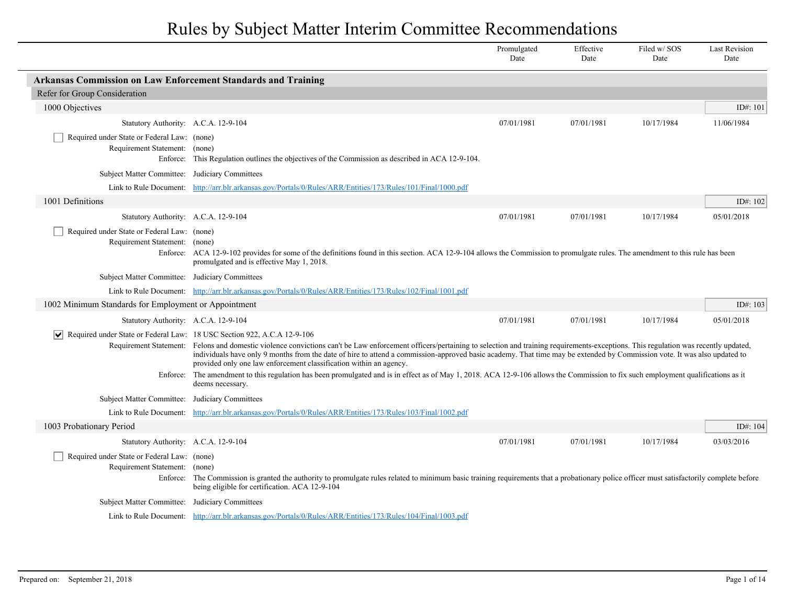Rules by Subject Matter Interim Committee Recommendations

|                                                                                                              |                                                                                                                                                                                                                                                                                                                                                                                                                                                                                                                                                                                                                                                         | Promulgated<br>Date | Effective<br>Date | Filed w/SOS<br>Date | <b>Last Revision</b><br>Date |
|--------------------------------------------------------------------------------------------------------------|---------------------------------------------------------------------------------------------------------------------------------------------------------------------------------------------------------------------------------------------------------------------------------------------------------------------------------------------------------------------------------------------------------------------------------------------------------------------------------------------------------------------------------------------------------------------------------------------------------------------------------------------------------|---------------------|-------------------|---------------------|------------------------------|
| <b>Arkansas Commission on Law Enforcement Standards and Training</b>                                         |                                                                                                                                                                                                                                                                                                                                                                                                                                                                                                                                                                                                                                                         |                     |                   |                     |                              |
| Refer for Group Consideration                                                                                |                                                                                                                                                                                                                                                                                                                                                                                                                                                                                                                                                                                                                                                         |                     |                   |                     |                              |
| 1000 Objectives                                                                                              |                                                                                                                                                                                                                                                                                                                                                                                                                                                                                                                                                                                                                                                         |                     |                   |                     | ID#: 101                     |
| Statutory Authority: A.C.A. 12-9-104                                                                         |                                                                                                                                                                                                                                                                                                                                                                                                                                                                                                                                                                                                                                                         | 07/01/1981          | 07/01/1981        | 10/17/1984          | 11/06/1984                   |
| Required under State or Federal Law: (none)<br>Requirement Statement: (none)                                 | Enforce: This Regulation outlines the objectives of the Commission as described in ACA 12-9-104.                                                                                                                                                                                                                                                                                                                                                                                                                                                                                                                                                        |                     |                   |                     |                              |
| Subject Matter Committee: Judiciary Committees                                                               |                                                                                                                                                                                                                                                                                                                                                                                                                                                                                                                                                                                                                                                         |                     |                   |                     |                              |
|                                                                                                              | Link to Rule Document: http://arr.blr.arkansas.gov/Portals/0/Rules/ARR/Entities/173/Rules/101/Final/1000.pdf                                                                                                                                                                                                                                                                                                                                                                                                                                                                                                                                            |                     |                   |                     |                              |
| 1001 Definitions                                                                                             |                                                                                                                                                                                                                                                                                                                                                                                                                                                                                                                                                                                                                                                         |                     |                   |                     | ID#: 102                     |
| Statutory Authority: A.C.A. 12-9-104                                                                         |                                                                                                                                                                                                                                                                                                                                                                                                                                                                                                                                                                                                                                                         | 07/01/1981          | 07/01/1981        | 10/17/1984          | 05/01/2018                   |
| Required under State or Federal Law: (none)<br>Requirement Statement: (none)                                 | Enforce: ACA 12-9-102 provides for some of the definitions found in this section. ACA 12-9-104 allows the Commission to promulgate rules. The amendment to this rule has been<br>promulgated and is effective May 1, 2018.                                                                                                                                                                                                                                                                                                                                                                                                                              |                     |                   |                     |                              |
| Subject Matter Committee: Judiciary Committees                                                               |                                                                                                                                                                                                                                                                                                                                                                                                                                                                                                                                                                                                                                                         |                     |                   |                     |                              |
|                                                                                                              | Link to Rule Document: http://arr.blr.arkansas.gov/Portals/0/Rules/ARR/Entities/173/Rules/102/Final/1001.pdf                                                                                                                                                                                                                                                                                                                                                                                                                                                                                                                                            |                     |                   |                     |                              |
| 1002 Minimum Standards for Employment or Appointment                                                         |                                                                                                                                                                                                                                                                                                                                                                                                                                                                                                                                                                                                                                                         |                     |                   |                     | ID#: 103                     |
| Statutory Authority: A.C.A. 12-9-104                                                                         |                                                                                                                                                                                                                                                                                                                                                                                                                                                                                                                                                                                                                                                         | 07/01/1981          | 07/01/1981        | 10/17/1984          | 05/01/2018                   |
| $\vert \mathbf{v} \vert$ Required under State or Federal Law: 18 USC Section 922, A.C.A 12-9-106<br>Enforce: | Requirement Statement: Felons and domestic violence convictions can't be Law enforcement officers/pertaining to selection and training requirements-exceptions. This regulation was recently updated,<br>individuals have only 9 months from the date of hire to attend a commission-approved basic academy. That time may be extended by Commission vote. It was also updated to<br>provided only one law enforcement classification within an agency.<br>The amendment to this regulation has been promulgated and is in effect as of May 1, 2018. ACA 12-9-106 allows the Commission to fix such employment qualifications as it<br>deems necessary. |                     |                   |                     |                              |
| Subject Matter Committee: Judiciary Committees                                                               |                                                                                                                                                                                                                                                                                                                                                                                                                                                                                                                                                                                                                                                         |                     |                   |                     |                              |
|                                                                                                              | Link to Rule Document: http://arr.blr.arkansas.gov/Portals/0/Rules/ARR/Entities/173/Rules/103/Final/1002.pdf                                                                                                                                                                                                                                                                                                                                                                                                                                                                                                                                            |                     |                   |                     |                              |
| 1003 Probationary Period                                                                                     |                                                                                                                                                                                                                                                                                                                                                                                                                                                                                                                                                                                                                                                         |                     |                   |                     | ID#: 104                     |
| Statutory Authority: A.C.A. 12-9-104                                                                         |                                                                                                                                                                                                                                                                                                                                                                                                                                                                                                                                                                                                                                                         | 07/01/1981          | 07/01/1981        | 10/17/1984          | 03/03/2016                   |
| Required under State or Federal Law: (none)<br>Requirement Statement: (none)                                 | Enforce: The Commission is granted the authority to promulgate rules related to minimum basic training requirements that a probationary police officer must satisfactorily complete before<br>being eligible for certification. ACA 12-9-104                                                                                                                                                                                                                                                                                                                                                                                                            |                     |                   |                     |                              |
| Subject Matter Committee: Judiciary Committees                                                               |                                                                                                                                                                                                                                                                                                                                                                                                                                                                                                                                                                                                                                                         |                     |                   |                     |                              |
|                                                                                                              | Link to Rule Document: http://arr.blr.arkansas.gov/Portals/0/Rules/ARR/Entities/173/Rules/104/Final/1003.pdf                                                                                                                                                                                                                                                                                                                                                                                                                                                                                                                                            |                     |                   |                     |                              |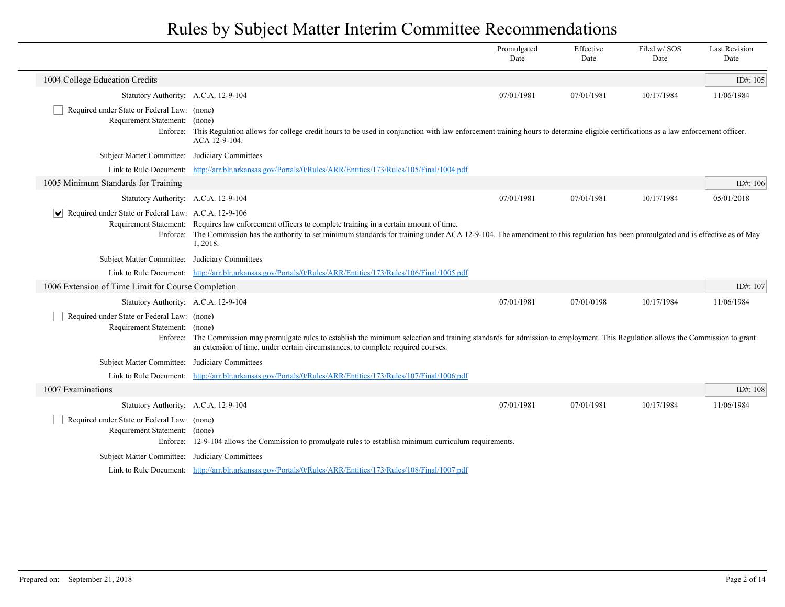|                                                                              |                                                                                                                                                                                                                                                                                                                | Promulgated<br>Date | Effective<br>Date | Filed w/SOS<br>Date | <b>Last Revision</b><br>Date |
|------------------------------------------------------------------------------|----------------------------------------------------------------------------------------------------------------------------------------------------------------------------------------------------------------------------------------------------------------------------------------------------------------|---------------------|-------------------|---------------------|------------------------------|
| 1004 College Education Credits                                               |                                                                                                                                                                                                                                                                                                                |                     |                   |                     | ID#: 105                     |
| Statutory Authority: A.C.A. 12-9-104                                         |                                                                                                                                                                                                                                                                                                                | 07/01/1981          | 07/01/1981        | 10/17/1984          | 11/06/1984                   |
| Required under State or Federal Law: (none)<br>Requirement Statement: (none) | Enforce: This Regulation allows for college credit hours to be used in conjunction with law enforcement training hours to determine eligible certifications as a law enforcement officer.<br>ACA 12-9-104.                                                                                                     |                     |                   |                     |                              |
| Subject Matter Committee: Judiciary Committees                               |                                                                                                                                                                                                                                                                                                                |                     |                   |                     |                              |
|                                                                              | Link to Rule Document: http://arr.blr.arkansas.gov/Portals/0/Rules/ARR/Entities/173/Rules/105/Final/1004.pdf                                                                                                                                                                                                   |                     |                   |                     |                              |
| 1005 Minimum Standards for Training                                          |                                                                                                                                                                                                                                                                                                                |                     |                   |                     | ID#: 106                     |
| Statutory Authority: A.C.A. 12-9-104                                         |                                                                                                                                                                                                                                                                                                                | 07/01/1981          | 07/01/1981        | 10/17/1984          | 05/01/2018                   |
| Required under State or Federal Law: A.C.A. 12-9-106                         | Requirement Statement: Requires law enforcement officers to complete training in a certain amount of time.<br>Enforce: The Commission has the authority to set minimum standards for training under ACA 12-9-104. The amendment to this regulation has been promulgated and is effective as of May<br>1, 2018. |                     |                   |                     |                              |
| Subject Matter Committee: Judiciary Committees                               |                                                                                                                                                                                                                                                                                                                |                     |                   |                     |                              |
|                                                                              | Link to Rule Document: http://arr.blr.arkansas.gov/Portals/0/Rules/ARR/Entities/173/Rules/106/Final/1005.pdf                                                                                                                                                                                                   |                     |                   |                     |                              |
| 1006 Extension of Time Limit for Course Completion                           |                                                                                                                                                                                                                                                                                                                |                     |                   |                     | ID#: 107                     |
| Statutory Authority: A.C.A. 12-9-104                                         |                                                                                                                                                                                                                                                                                                                | 07/01/1981          | 07/01/0198        | 10/17/1984          | 11/06/1984                   |
| Required under State or Federal Law: (none)<br>Requirement Statement: (none) | Enforce: The Commission may promulgate rules to establish the minimum selection and training standards for admission to employment. This Regulation allows the Commission to grant<br>an extension of time, under certain circumstances, to complete required courses.                                         |                     |                   |                     |                              |
| Subject Matter Committee: Judiciary Committees                               |                                                                                                                                                                                                                                                                                                                |                     |                   |                     |                              |
|                                                                              | Link to Rule Document: http://arr.blr.arkansas.gov/Portals/0/Rules/ARR/Entities/173/Rules/107/Final/1006.pdf                                                                                                                                                                                                   |                     |                   |                     |                              |
| 1007 Examinations                                                            |                                                                                                                                                                                                                                                                                                                |                     |                   |                     | ID#: 108                     |
| Statutory Authority: A.C.A. 12-9-104                                         |                                                                                                                                                                                                                                                                                                                | 07/01/1981          | 07/01/1981        | 10/17/1984          | 11/06/1984                   |
| Required under State or Federal Law: (none)<br>Requirement Statement: (none) | Enforce: 12-9-104 allows the Commission to promulgate rules to establish minimum curriculum requirements.                                                                                                                                                                                                      |                     |                   |                     |                              |
| Subject Matter Committee: Judiciary Committees                               |                                                                                                                                                                                                                                                                                                                |                     |                   |                     |                              |
|                                                                              | Link to Rule Document: http://arr.blr.arkansas.gov/Portals/0/Rules/ARR/Entities/173/Rules/108/Final/1007.pdf                                                                                                                                                                                                   |                     |                   |                     |                              |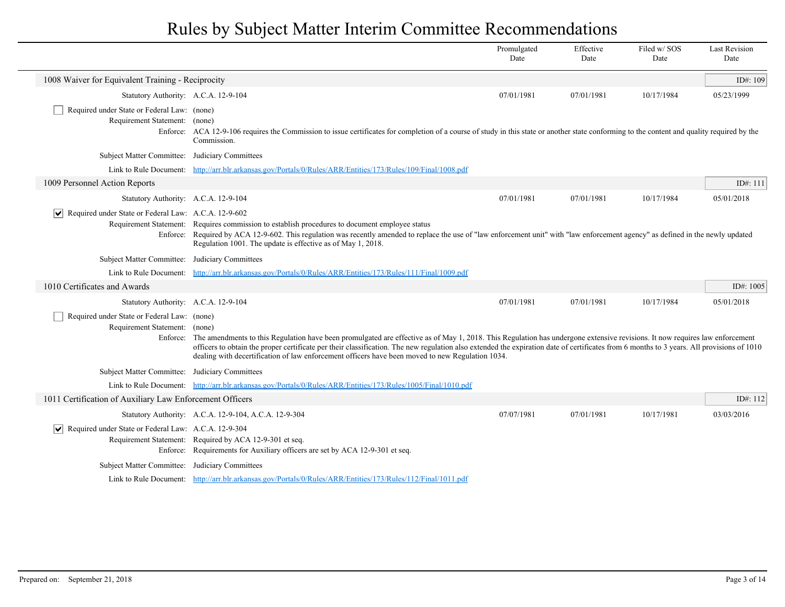|                                                                                  |                                                                                                                                                                                                                                                                                                                                                                                                                                                                                       | Promulgated<br>Date | Effective<br>Date | Filed w/SOS<br>Date | <b>Last Revision</b><br>Date |
|----------------------------------------------------------------------------------|---------------------------------------------------------------------------------------------------------------------------------------------------------------------------------------------------------------------------------------------------------------------------------------------------------------------------------------------------------------------------------------------------------------------------------------------------------------------------------------|---------------------|-------------------|---------------------|------------------------------|
| 1008 Waiver for Equivalent Training - Reciprocity                                |                                                                                                                                                                                                                                                                                                                                                                                                                                                                                       |                     |                   |                     | ID#: 109                     |
| Statutory Authority: A.C.A. 12-9-104                                             |                                                                                                                                                                                                                                                                                                                                                                                                                                                                                       | 07/01/1981          | 07/01/1981        | 10/17/1984          | 05/23/1999                   |
| Required under State or Federal Law: (none)<br>Requirement Statement: (none)     | Enforce: ACA 12-9-106 requires the Commission to issue certificates for completion of a course of study in this state or another state conforming to the content and quality required by the<br>Commission.                                                                                                                                                                                                                                                                           |                     |                   |                     |                              |
| Subject Matter Committee: Judiciary Committees                                   |                                                                                                                                                                                                                                                                                                                                                                                                                                                                                       |                     |                   |                     |                              |
|                                                                                  | Link to Rule Document: http://arr.blr.arkansas.gov/Portals/0/Rules/ARR/Entities/173/Rules/109/Final/1008.pdf                                                                                                                                                                                                                                                                                                                                                                          |                     |                   |                     |                              |
| 1009 Personnel Action Reports                                                    |                                                                                                                                                                                                                                                                                                                                                                                                                                                                                       |                     |                   |                     | ID#: 111                     |
| Statutory Authority: A.C.A. 12-9-104                                             |                                                                                                                                                                                                                                                                                                                                                                                                                                                                                       | 07/01/1981          | 07/01/1981        | 10/17/1984          | 05/01/2018                   |
| Required under State or Federal Law: A.C.A. 12-9-602<br>$ \bm{\mathsf{v}} $      | Requirement Statement: Requires commission to establish procedures to document employee status<br>Enforce: Required by ACA 12-9-602. This regulation was recently amended to replace the use of "law enforcement unit" with "law enforcement agency" as defined in the newly updated<br>Regulation 1001. The update is effective as of May 1, 2018.                                                                                                                                   |                     |                   |                     |                              |
| Subject Matter Committee: Judiciary Committees                                   |                                                                                                                                                                                                                                                                                                                                                                                                                                                                                       |                     |                   |                     |                              |
|                                                                                  | Link to Rule Document: http://arr.blr.arkansas.gov/Portals/0/Rules/ARR/Entities/173/Rules/111/Final/1009.pdf                                                                                                                                                                                                                                                                                                                                                                          |                     |                   |                     |                              |
| 1010 Certificates and Awards                                                     |                                                                                                                                                                                                                                                                                                                                                                                                                                                                                       |                     |                   |                     | ID#: $1005$                  |
| Statutory Authority: A.C.A. 12-9-104                                             |                                                                                                                                                                                                                                                                                                                                                                                                                                                                                       | 07/01/1981          | 07/01/1981        | 10/17/1984          | 05/01/2018                   |
| Required under State or Federal Law: (none)<br>Requirement Statement: (none)     | Enforce: The amendments to this Regulation have been promulgated are effective as of May 1, 2018. This Regulation has undergone extensive revisions. It now requires law enforcement<br>officers to obtain the proper certificate per their classification. The new regulation also extended the expiration date of certificates from 6 months to 3 years. All provisions of 1010<br>dealing with decertification of law enforcement officers have been moved to new Regulation 1034. |                     |                   |                     |                              |
| Subject Matter Committee: Judiciary Committees                                   |                                                                                                                                                                                                                                                                                                                                                                                                                                                                                       |                     |                   |                     |                              |
|                                                                                  | Link to Rule Document: http://arr.blr.arkansas.gov/Portals/0/Rules/ARR/Entities/173/Rules/1005/Final/1010.pdf                                                                                                                                                                                                                                                                                                                                                                         |                     |                   |                     |                              |
| 1011 Certification of Auxiliary Law Enforcement Officers                         |                                                                                                                                                                                                                                                                                                                                                                                                                                                                                       |                     |                   |                     | ID#: 112                     |
|                                                                                  | Statutory Authority: A.C.A. 12-9-104, A.C.A. 12-9-304                                                                                                                                                                                                                                                                                                                                                                                                                                 | 07/07/1981          | 07/01/1981        | 10/17/1981          | 03/03/2016                   |
| Required under State or Federal Law: A.C.A. 12-9-304<br>$\vert \mathbf{v} \vert$ | Requirement Statement: Required by ACA 12-9-301 et seq.<br>Enforce: Requirements for Auxiliary officers are set by ACA 12-9-301 et seq.                                                                                                                                                                                                                                                                                                                                               |                     |                   |                     |                              |
| Subject Matter Committee: Judiciary Committees                                   |                                                                                                                                                                                                                                                                                                                                                                                                                                                                                       |                     |                   |                     |                              |
|                                                                                  | Link to Rule Document: http://arr.blr.arkansas.gov/Portals/0/Rules/ARR/Entities/173/Rules/112/Final/1011.pdf                                                                                                                                                                                                                                                                                                                                                                          |                     |                   |                     |                              |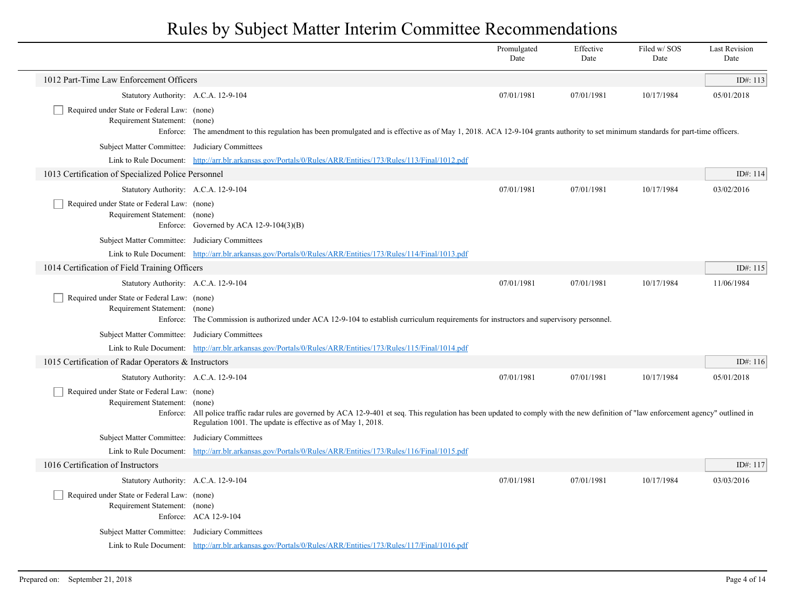|                                                                              |                                                                                                                                                                                                                                                        | Promulgated<br>Date | Effective<br>Date | Filed w/ SOS<br>Date | <b>Last Revision</b><br>Date |
|------------------------------------------------------------------------------|--------------------------------------------------------------------------------------------------------------------------------------------------------------------------------------------------------------------------------------------------------|---------------------|-------------------|----------------------|------------------------------|
| 1012 Part-Time Law Enforcement Officers                                      |                                                                                                                                                                                                                                                        |                     |                   |                      | ID#: 113                     |
| Statutory Authority: A.C.A. 12-9-104                                         |                                                                                                                                                                                                                                                        | 07/01/1981          | 07/01/1981        | 10/17/1984           | 05/01/2018                   |
| Required under State or Federal Law: (none)<br>Requirement Statement: (none) | Enforce: The amendment to this regulation has been promulgated and is effective as of May 1, 2018. ACA 12-9-104 grants authority to set minimum standards for part-time officers.                                                                      |                     |                   |                      |                              |
| Subject Matter Committee: Judiciary Committees                               |                                                                                                                                                                                                                                                        |                     |                   |                      |                              |
|                                                                              | Link to Rule Document: http://arr.blr.arkansas.gov/Portals/0/Rules/ARR/Entities/173/Rules/113/Final/1012.pdf                                                                                                                                           |                     |                   |                      |                              |
| 1013 Certification of Specialized Police Personnel                           |                                                                                                                                                                                                                                                        |                     |                   |                      | ID#: 114                     |
| Statutory Authority: A.C.A. 12-9-104                                         |                                                                                                                                                                                                                                                        | 07/01/1981          | 07/01/1981        | 10/17/1984           | 03/02/2016                   |
| Required under State or Federal Law: (none)<br>Requirement Statement: (none) | Enforce: Governed by ACA $12-9-104(3)(B)$                                                                                                                                                                                                              |                     |                   |                      |                              |
| Subject Matter Committee: Judiciary Committees                               |                                                                                                                                                                                                                                                        |                     |                   |                      |                              |
|                                                                              | Link to Rule Document: http://arr.blr.arkansas.gov/Portals/0/Rules/ARR/Entities/173/Rules/114/Final/1013.pdf                                                                                                                                           |                     |                   |                      |                              |
| 1014 Certification of Field Training Officers                                |                                                                                                                                                                                                                                                        |                     |                   |                      | ID#: 115                     |
| Statutory Authority: A.C.A. 12-9-104                                         |                                                                                                                                                                                                                                                        | 07/01/1981          | 07/01/1981        | 10/17/1984           | 11/06/1984                   |
| Required under State or Federal Law: (none)<br>Requirement Statement: (none) | Enforce: The Commission is authorized under ACA 12-9-104 to establish curriculum requirements for instructors and supervisory personnel.                                                                                                               |                     |                   |                      |                              |
| Subject Matter Committee: Judiciary Committees                               |                                                                                                                                                                                                                                                        |                     |                   |                      |                              |
|                                                                              | Link to Rule Document: http://arr.blr.arkansas.gov/Portals/0/Rules/ARR/Entities/173/Rules/115/Final/1014.pdf                                                                                                                                           |                     |                   |                      |                              |
| 1015 Certification of Radar Operators & Instructors                          |                                                                                                                                                                                                                                                        |                     |                   |                      | ID#: 116                     |
| Statutory Authority: A.C.A. 12-9-104                                         |                                                                                                                                                                                                                                                        | 07/01/1981          | 07/01/1981        | 10/17/1984           | 05/01/2018                   |
| Required under State or Federal Law: (none)<br>Requirement Statement: (none) | Enforce: All police traffic radar rules are governed by ACA 12-9-401 et seq. This regulation has been updated to comply with the new definition of "law enforcement agency" outlined in<br>Regulation 1001. The update is effective as of May 1, 2018. |                     |                   |                      |                              |
| Subject Matter Committee: Judiciary Committees                               |                                                                                                                                                                                                                                                        |                     |                   |                      |                              |
|                                                                              | Link to Rule Document: http://arr.blr.arkansas.gov/Portals/0/Rules/ARR/Entities/173/Rules/116/Final/1015.pdf                                                                                                                                           |                     |                   |                      |                              |
| 1016 Certification of Instructors                                            |                                                                                                                                                                                                                                                        |                     |                   |                      | ID#: 117                     |
| Statutory Authority: A.C.A. 12-9-104                                         |                                                                                                                                                                                                                                                        | 07/01/1981          | 07/01/1981        | 10/17/1984           | 03/03/2016                   |
| Required under State or Federal Law: (none)<br>Requirement Statement: (none) | Enforce: ACA 12-9-104                                                                                                                                                                                                                                  |                     |                   |                      |                              |
| Subject Matter Committee: Judiciary Committees                               |                                                                                                                                                                                                                                                        |                     |                   |                      |                              |
|                                                                              | Link to Rule Document: http://arr.blr.arkansas.gov/Portals/0/Rules/ARR/Entities/173/Rules/117/Final/1016.pdf                                                                                                                                           |                     |                   |                      |                              |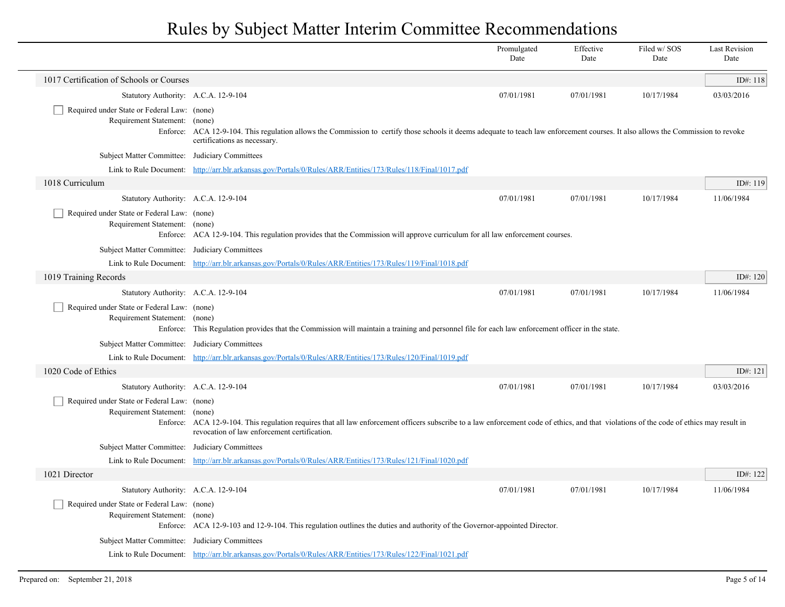|                                                                              |                                                                                                                                                                                                                   | Promulgated<br>Date                                                                                                                                                                      | Effective<br>Date | Filed w/ SOS<br>Date | <b>Last Revision</b><br>Date |  |  |
|------------------------------------------------------------------------------|-------------------------------------------------------------------------------------------------------------------------------------------------------------------------------------------------------------------|------------------------------------------------------------------------------------------------------------------------------------------------------------------------------------------|-------------------|----------------------|------------------------------|--|--|
| 1017 Certification of Schools or Courses                                     |                                                                                                                                                                                                                   |                                                                                                                                                                                          |                   |                      | ID#: 118                     |  |  |
| Statutory Authority: A.C.A. 12-9-104                                         |                                                                                                                                                                                                                   | 07/01/1981                                                                                                                                                                               | 07/01/1981        | 10/17/1984           | 03/03/2016                   |  |  |
| Required under State or Federal Law: (none)<br>Requirement Statement: (none) | Enforce: ACA 12-9-104. This regulation allows the Commission to certify those schools it deems adequate to teach law enforcement courses. It also allows the Commission to revoke<br>certifications as necessary. |                                                                                                                                                                                          |                   |                      |                              |  |  |
| Subject Matter Committee: Judiciary Committees                               |                                                                                                                                                                                                                   |                                                                                                                                                                                          |                   |                      |                              |  |  |
|                                                                              | Link to Rule Document: http://arr.blr.arkansas.gov/Portals/0/Rules/ARR/Entities/173/Rules/118/Final/1017.pdf                                                                                                      |                                                                                                                                                                                          |                   |                      |                              |  |  |
| 1018 Curriculum                                                              |                                                                                                                                                                                                                   |                                                                                                                                                                                          |                   |                      | ID#: 119                     |  |  |
| Statutory Authority: A.C.A. 12-9-104                                         |                                                                                                                                                                                                                   | 07/01/1981                                                                                                                                                                               | 07/01/1981        | 10/17/1984           | 11/06/1984                   |  |  |
| Required under State or Federal Law: (none)<br>Requirement Statement: (none) | Enforce: ACA 12-9-104. This regulation provides that the Commission will approve curriculum for all law enforcement courses.                                                                                      |                                                                                                                                                                                          |                   |                      |                              |  |  |
| Subject Matter Committee: Judiciary Committees                               |                                                                                                                                                                                                                   |                                                                                                                                                                                          |                   |                      |                              |  |  |
|                                                                              | Link to Rule Document: http://arr.blr.arkansas.gov/Portals/0/Rules/ARR/Entities/173/Rules/119/Final/1018.pdf                                                                                                      |                                                                                                                                                                                          |                   |                      |                              |  |  |
| 1019 Training Records                                                        |                                                                                                                                                                                                                   |                                                                                                                                                                                          |                   |                      | ID#: 120                     |  |  |
| Statutory Authority: A.C.A. 12-9-104                                         |                                                                                                                                                                                                                   | 07/01/1981                                                                                                                                                                               | 07/01/1981        | 10/17/1984           | 11/06/1984                   |  |  |
| Required under State or Federal Law: (none)<br>Requirement Statement:        | (none)<br>Enforce: This Regulation provides that the Commission will maintain a training and personnel file for each law enforcement officer in the state.                                                        |                                                                                                                                                                                          |                   |                      |                              |  |  |
| Subject Matter Committee: Judiciary Committees                               |                                                                                                                                                                                                                   |                                                                                                                                                                                          |                   |                      |                              |  |  |
|                                                                              | Link to Rule Document: http://arr.blr.arkansas.gov/Portals/0/Rules/ARR/Entities/173/Rules/120/Final/1019.pdf                                                                                                      |                                                                                                                                                                                          |                   |                      |                              |  |  |
| 1020 Code of Ethics                                                          |                                                                                                                                                                                                                   |                                                                                                                                                                                          |                   |                      | ID#: 121                     |  |  |
| Statutory Authority: A.C.A. 12-9-104                                         |                                                                                                                                                                                                                   | 07/01/1981                                                                                                                                                                               | 07/01/1981        | 10/17/1984           | 03/03/2016                   |  |  |
| Required under State or Federal Law: (none)<br>Requirement Statement: (none) | revocation of law enforcement certification.                                                                                                                                                                      | Enforce: ACA 12-9-104. This regulation requires that all law enforcement officers subscribe to a law enforcement code of ethics, and that violations of the code of ethics may result in |                   |                      |                              |  |  |
| Subject Matter Committee: Judiciary Committees                               |                                                                                                                                                                                                                   |                                                                                                                                                                                          |                   |                      |                              |  |  |
|                                                                              | Link to Rule Document: http://arr.blr.arkansas.gov/Portals/0/Rules/ARR/Entities/173/Rules/121/Final/1020.pdf                                                                                                      |                                                                                                                                                                                          |                   |                      |                              |  |  |
| 1021 Director                                                                |                                                                                                                                                                                                                   |                                                                                                                                                                                          |                   |                      | ID#: 122                     |  |  |
| Statutory Authority: A.C.A. 12-9-104                                         |                                                                                                                                                                                                                   | 07/01/1981                                                                                                                                                                               | 07/01/1981        | 10/17/1984           | 11/06/1984                   |  |  |
| Required under State or Federal Law: (none)<br>Requirement Statement: (none) | Enforce: ACA 12-9-103 and 12-9-104. This regulation outlines the duties and authority of the Governor-appointed Director.                                                                                         |                                                                                                                                                                                          |                   |                      |                              |  |  |
| Subject Matter Committee: Judiciary Committees                               |                                                                                                                                                                                                                   |                                                                                                                                                                                          |                   |                      |                              |  |  |
|                                                                              | Link to Rule Document: http://arr.blr.arkansas.gov/Portals/0/Rules/ARR/Entities/173/Rules/122/Final/1021.pdf                                                                                                      |                                                                                                                                                                                          |                   |                      |                              |  |  |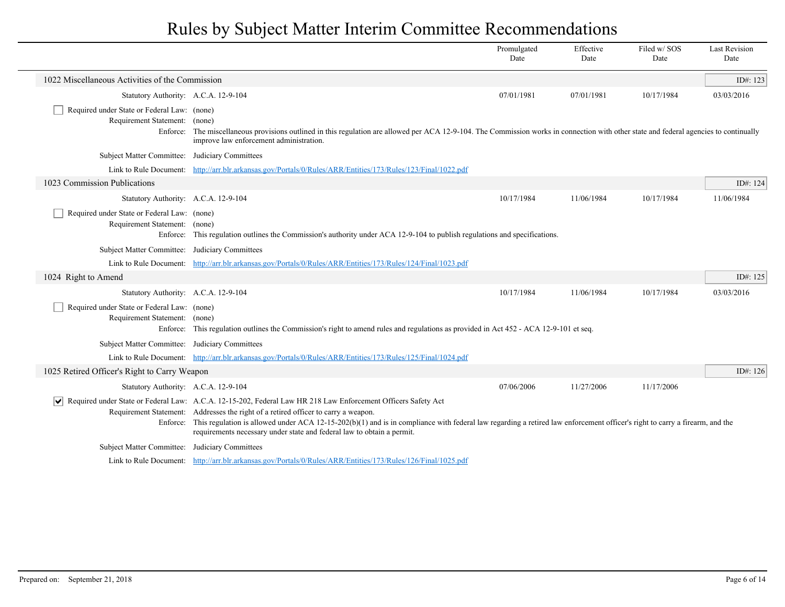|                                                                              |                                                                                                                                                                                                                                                                                                                                                                                                                                                                      | Promulgated<br>Date | Effective<br>Date | Filed w/SOS<br>Date | <b>Last Revision</b><br>Date |
|------------------------------------------------------------------------------|----------------------------------------------------------------------------------------------------------------------------------------------------------------------------------------------------------------------------------------------------------------------------------------------------------------------------------------------------------------------------------------------------------------------------------------------------------------------|---------------------|-------------------|---------------------|------------------------------|
| 1022 Miscellaneous Activities of the Commission                              |                                                                                                                                                                                                                                                                                                                                                                                                                                                                      |                     |                   |                     | ID#: 123                     |
| Statutory Authority: A.C.A. 12-9-104                                         |                                                                                                                                                                                                                                                                                                                                                                                                                                                                      | 07/01/1981          | 07/01/1981        | 10/17/1984          | 03/03/2016                   |
| Required under State or Federal Law: (none)<br>Requirement Statement: (none) | Enforce: The miscellaneous provisions outlined in this regulation are allowed per ACA 12-9-104. The Commission works in connection with other state and federal agencies to continually<br>improve law enforcement administration.                                                                                                                                                                                                                                   |                     |                   |                     |                              |
| Subject Matter Committee: Judiciary Committees                               |                                                                                                                                                                                                                                                                                                                                                                                                                                                                      |                     |                   |                     |                              |
|                                                                              | Link to Rule Document: http://arr.blr.arkansas.gov/Portals/0/Rules/ARR/Entities/173/Rules/123/Final/1022.pdf                                                                                                                                                                                                                                                                                                                                                         |                     |                   |                     |                              |
| 1023 Commission Publications                                                 |                                                                                                                                                                                                                                                                                                                                                                                                                                                                      |                     |                   |                     | ID#: 124                     |
| Statutory Authority: A.C.A. 12-9-104                                         |                                                                                                                                                                                                                                                                                                                                                                                                                                                                      | 10/17/1984          | 11/06/1984        | 10/17/1984          | 11/06/1984                   |
| Required under State or Federal Law: (none)<br>Requirement Statement: (none) | Enforce: This regulation outlines the Commission's authority under ACA 12-9-104 to publish regulations and specifications.                                                                                                                                                                                                                                                                                                                                           |                     |                   |                     |                              |
| Subject Matter Committee: Judiciary Committees                               |                                                                                                                                                                                                                                                                                                                                                                                                                                                                      |                     |                   |                     |                              |
|                                                                              | Link to Rule Document: http://arr.blr.arkansas.gov/Portals/0/Rules/ARR/Entities/173/Rules/124/Final/1023.pdf                                                                                                                                                                                                                                                                                                                                                         |                     |                   |                     |                              |
| 1024 Right to Amend                                                          |                                                                                                                                                                                                                                                                                                                                                                                                                                                                      |                     |                   |                     | ID#: 125                     |
| Statutory Authority: A.C.A. 12-9-104                                         |                                                                                                                                                                                                                                                                                                                                                                                                                                                                      | 10/17/1984          | 11/06/1984        | 10/17/1984          | 03/03/2016                   |
| Required under State or Federal Law: (none)<br>Requirement Statement: (none) | Enforce: This regulation outlines the Commission's right to amend rules and regulations as provided in Act 452 - ACA 12-9-101 et seq.                                                                                                                                                                                                                                                                                                                                |                     |                   |                     |                              |
| Subject Matter Committee: Judiciary Committees                               |                                                                                                                                                                                                                                                                                                                                                                                                                                                                      |                     |                   |                     |                              |
|                                                                              | Link to Rule Document: http://arr.blr.arkansas.gov/Portals/0/Rules/ARR/Entities/173/Rules/125/Final/1024.pdf                                                                                                                                                                                                                                                                                                                                                         |                     |                   |                     |                              |
| 1025 Retired Officer's Right to Carry Weapon                                 |                                                                                                                                                                                                                                                                                                                                                                                                                                                                      |                     |                   |                     | ID#: 126                     |
| Statutory Authority: A.C.A. 12-9-104                                         |                                                                                                                                                                                                                                                                                                                                                                                                                                                                      | 07/06/2006          | 11/27/2006        | 11/17/2006          |                              |
| ∣V∣                                                                          | Required under State or Federal Law: A.C.A. 12-15-202, Federal Law HR 218 Law Enforcement Officers Safety Act<br>Requirement Statement: Addresses the right of a retired officer to carry a weapon.<br>Enforce: This regulation is allowed under ACA 12-15-202(b)(1) and is in compliance with federal law regarding a retired law enforcement officer's right to carry a firearm, and the<br>requirements necessary under state and federal law to obtain a permit. |                     |                   |                     |                              |
| Subject Matter Committee: Judiciary Committees                               |                                                                                                                                                                                                                                                                                                                                                                                                                                                                      |                     |                   |                     |                              |
|                                                                              | Link to Rule Document: http://arr.blr.arkansas.gov/Portals/0/Rules/ARR/Entities/173/Rules/126/Final/1025.pdf                                                                                                                                                                                                                                                                                                                                                         |                     |                   |                     |                              |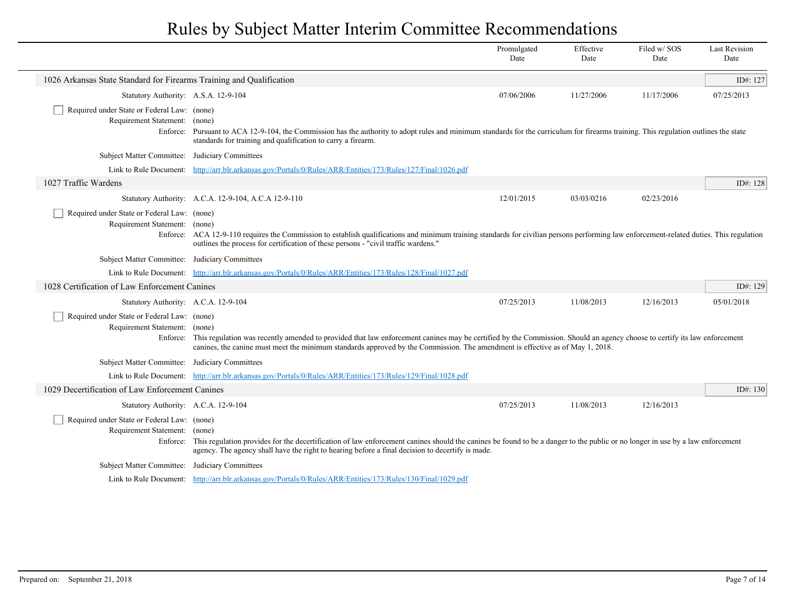|                                                                              |                                                                                                                                                                                                                                                                                                                    | Promulgated<br>Date | Effective<br>Date | Filed w/SOS<br>Date | <b>Last Revision</b><br>Date |
|------------------------------------------------------------------------------|--------------------------------------------------------------------------------------------------------------------------------------------------------------------------------------------------------------------------------------------------------------------------------------------------------------------|---------------------|-------------------|---------------------|------------------------------|
| 1026 Arkansas State Standard for Firearms Training and Qualification         |                                                                                                                                                                                                                                                                                                                    |                     |                   |                     | ID#: 127                     |
| Statutory Authority: A.S.A. 12-9-104                                         |                                                                                                                                                                                                                                                                                                                    | 07/06/2006          | 11/27/2006        | 11/17/2006          | 07/25/2013                   |
| Required under State or Federal Law: (none)<br>Requirement Statement:        | (none)<br>Enforce: Pursuant to ACA 12-9-104, the Commission has the authority to adopt rules and minimum standards for the curriculum for firearms training. This regulation outlines the state<br>standards for training and qualification to carry a firearm.                                                    |                     |                   |                     |                              |
| Subject Matter Committee: Judiciary Committees                               |                                                                                                                                                                                                                                                                                                                    |                     |                   |                     |                              |
|                                                                              | Link to Rule Document: http://arr.blr.arkansas.gov/Portals/0/Rules/ARR/Entities/173/Rules/127/Final/1026.pdf                                                                                                                                                                                                       |                     |                   |                     |                              |
| 1027 Traffic Wardens                                                         |                                                                                                                                                                                                                                                                                                                    |                     |                   |                     | ID#: 128                     |
|                                                                              | Statutory Authority: A.C.A. 12-9-104, A.C.A 12-9-110                                                                                                                                                                                                                                                               | 12/01/2015          | 03/03/0216        | 02/23/2016          |                              |
| Required under State or Federal Law: (none)<br>Requirement Statement: (none) | Enforce: ACA 12-9-110 requires the Commission to establish qualifications and minimum training standards for civilian persons performing law enforcement-related duties. This regulation<br>outlines the process for certification of these persons - "civil traffic wardens."                                     |                     |                   |                     |                              |
| Subject Matter Committee: Judiciary Committees                               |                                                                                                                                                                                                                                                                                                                    |                     |                   |                     |                              |
|                                                                              | Link to Rule Document: http://arr.blr.arkansas.gov/Portals/0/Rules/ARR/Entities/173/Rules/128/Final/1027.pdf                                                                                                                                                                                                       |                     |                   |                     |                              |
| 1028 Certification of Law Enforcement Canines                                |                                                                                                                                                                                                                                                                                                                    |                     |                   |                     | ID#: 129                     |
| Statutory Authority: A.C.A. 12-9-104                                         |                                                                                                                                                                                                                                                                                                                    | 07/25/2013          | 11/08/2013        | 12/16/2013          | 05/01/2018                   |
| Required under State or Federal Law: (none)<br>Requirement Statement: (none) | Enforce: This regulation was recently amended to provided that law enforcement canines may be certified by the Commission. Should an agency choose to certify its law enforcement<br>canines, the canine must meet the minimum standards approved by the Commission. The amendment is effective as of May 1, 2018. |                     |                   |                     |                              |
| Subject Matter Committee: Judiciary Committees                               |                                                                                                                                                                                                                                                                                                                    |                     |                   |                     |                              |
|                                                                              | Link to Rule Document: http://arr.blr.arkansas.gov/Portals/0/Rules/ARR/Entities/173/Rules/129/Final/1028.pdf                                                                                                                                                                                                       |                     |                   |                     |                              |
| 1029 Decertification of Law Enforcement Canines                              |                                                                                                                                                                                                                                                                                                                    |                     |                   |                     | ID#: 130                     |
| Statutory Authority: A.C.A. 12-9-104                                         |                                                                                                                                                                                                                                                                                                                    | 07/25/2013          | 11/08/2013        | 12/16/2013          |                              |
| Required under State or Federal Law: (none)<br>Requirement Statement:        | (none)<br>Enforce: This regulation provides for the decertification of law enforcement canines should the canines be found to be a danger to the public or no longer in use by a law enforcement<br>agency. The agency shall have the right to hearing before a final decision to decertify is made.               |                     |                   |                     |                              |
| Subject Matter Committee: Judiciary Committees                               |                                                                                                                                                                                                                                                                                                                    |                     |                   |                     |                              |
|                                                                              | Link to Rule Document: http://arr.blr.arkansas.gov/Portals/0/Rules/ARR/Entities/173/Rules/130/Final/1029.pdf                                                                                                                                                                                                       |                     |                   |                     |                              |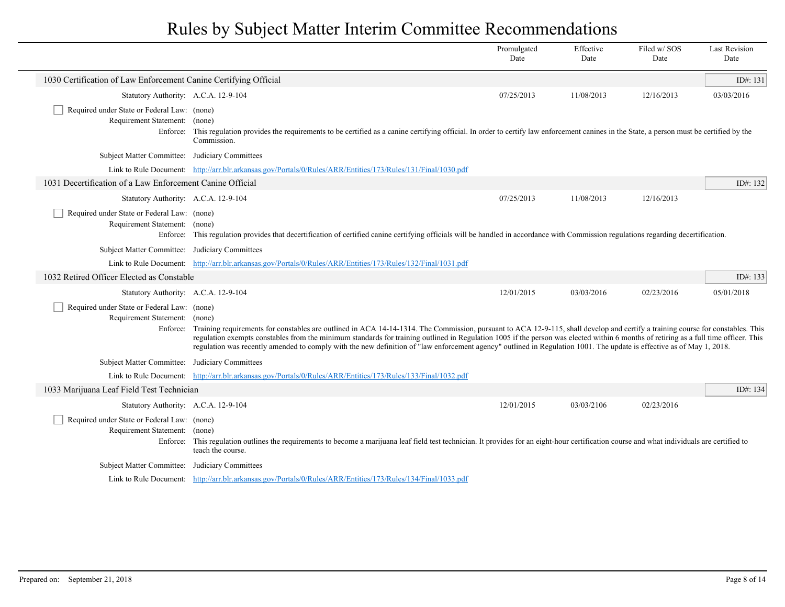|                                                                              |                                                                                                                                                                                                                                                                                                                                                                                                                                                                                                                                                           | Promulgated<br>Date | Effective<br>Date | Filed w/SOS<br>Date | <b>Last Revision</b><br>Date |
|------------------------------------------------------------------------------|-----------------------------------------------------------------------------------------------------------------------------------------------------------------------------------------------------------------------------------------------------------------------------------------------------------------------------------------------------------------------------------------------------------------------------------------------------------------------------------------------------------------------------------------------------------|---------------------|-------------------|---------------------|------------------------------|
| 1030 Certification of Law Enforcement Canine Certifying Official             |                                                                                                                                                                                                                                                                                                                                                                                                                                                                                                                                                           |                     |                   |                     | ID#: 131                     |
| Statutory Authority: A.C.A. 12-9-104                                         |                                                                                                                                                                                                                                                                                                                                                                                                                                                                                                                                                           | 07/25/2013          | 11/08/2013        | 12/16/2013          | 03/03/2016                   |
| Required under State or Federal Law: (none)<br>Requirement Statement:        | (none)<br>Enforce: This regulation provides the requirements to be certified as a canine certifying official. In order to certify law enforcement canines in the State, a person must be certified by the<br>Commission.                                                                                                                                                                                                                                                                                                                                  |                     |                   |                     |                              |
| Subject Matter Committee: Judiciary Committees                               |                                                                                                                                                                                                                                                                                                                                                                                                                                                                                                                                                           |                     |                   |                     |                              |
|                                                                              | Link to Rule Document: http://arr.blr.arkansas.gov/Portals/0/Rules/ARR/Entities/173/Rules/131/Final/1030.pdf                                                                                                                                                                                                                                                                                                                                                                                                                                              |                     |                   |                     |                              |
| 1031 Decertification of a Law Enforcement Canine Official                    |                                                                                                                                                                                                                                                                                                                                                                                                                                                                                                                                                           |                     |                   |                     | ID#: $132$                   |
| Statutory Authority: A.C.A. 12-9-104                                         |                                                                                                                                                                                                                                                                                                                                                                                                                                                                                                                                                           | 07/25/2013          | 11/08/2013        | 12/16/2013          |                              |
| Required under State or Federal Law: (none)<br>Requirement Statement: (none) | Enforce: This regulation provides that decertification of certified canine certifying officials will be handled in accordance with Commission regulations regarding decertification.                                                                                                                                                                                                                                                                                                                                                                      |                     |                   |                     |                              |
| Subject Matter Committee: Judiciary Committees                               |                                                                                                                                                                                                                                                                                                                                                                                                                                                                                                                                                           |                     |                   |                     |                              |
|                                                                              | Link to Rule Document: http://arr.blr.arkansas.gov/Portals/0/Rules/ARR/Entities/173/Rules/132/Final/1031.pdf                                                                                                                                                                                                                                                                                                                                                                                                                                              |                     |                   |                     |                              |
| 1032 Retired Officer Elected as Constable                                    |                                                                                                                                                                                                                                                                                                                                                                                                                                                                                                                                                           |                     |                   |                     | ID#: $133$                   |
| Statutory Authority: A.C.A. 12-9-104                                         |                                                                                                                                                                                                                                                                                                                                                                                                                                                                                                                                                           | 12/01/2015          | 03/03/2016        | 02/23/2016          | 05/01/2018                   |
| Required under State or Federal Law: (none)<br>Requirement Statement: (none) | Enforce: Training requirements for constables are outlined in ACA 14-14-1314. The Commission, pursuant to ACA 12-9-115, shall develop and certify a training course for constables. This<br>regulation exempts constables from the minimum standards for training outlined in Regulation 1005 if the person was elected within 6 months of retiring as a full time officer. This<br>regulation was recently amended to comply with the new definition of "law enforcement agency" outlined in Regulation 1001. The update is effective as of May 1, 2018. |                     |                   |                     |                              |
| Subject Matter Committee: Judiciary Committees                               |                                                                                                                                                                                                                                                                                                                                                                                                                                                                                                                                                           |                     |                   |                     |                              |
|                                                                              | Link to Rule Document: http://arr.blr.arkansas.gov/Portals/0/Rules/ARR/Entities/173/Rules/133/Final/1032.pdf                                                                                                                                                                                                                                                                                                                                                                                                                                              |                     |                   |                     |                              |
| 1033 Marijuana Leaf Field Test Technician                                    |                                                                                                                                                                                                                                                                                                                                                                                                                                                                                                                                                           |                     |                   |                     | ID#: 134                     |
| Statutory Authority: A.C.A. 12-9-104                                         |                                                                                                                                                                                                                                                                                                                                                                                                                                                                                                                                                           | 12/01/2015          | 03/03/2106        | 02/23/2016          |                              |
| Required under State or Federal Law: (none)<br>Requirement Statement:        | (none)<br>Enforce: This regulation outlines the requirements to become a marijuana leaf field test technician. It provides for an eight-hour certification course and what individuals are certified to<br>teach the course.                                                                                                                                                                                                                                                                                                                              |                     |                   |                     |                              |
| Subject Matter Committee: Judiciary Committees                               |                                                                                                                                                                                                                                                                                                                                                                                                                                                                                                                                                           |                     |                   |                     |                              |
|                                                                              | Link to Rule Document: http://arr.blr.arkansas.gov/Portals/0/Rules/ARR/Entities/173/Rules/134/Final/1033.pdf                                                                                                                                                                                                                                                                                                                                                                                                                                              |                     |                   |                     |                              |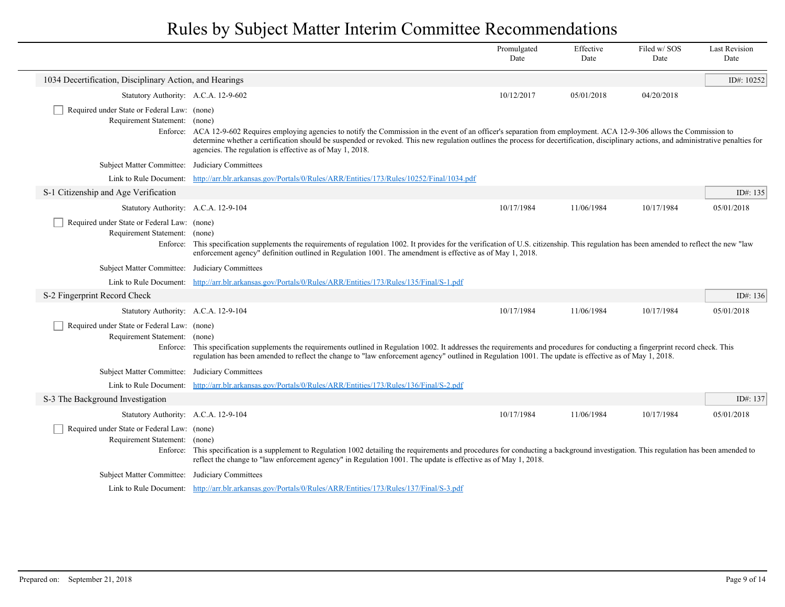|                                                                              |                                                                                                                                                                                                                                                                                                                                                                                                                                 | Promulgated<br>Date | Effective<br>Date | Filed w/SOS<br>Date | <b>Last Revision</b><br>Date |  |
|------------------------------------------------------------------------------|---------------------------------------------------------------------------------------------------------------------------------------------------------------------------------------------------------------------------------------------------------------------------------------------------------------------------------------------------------------------------------------------------------------------------------|---------------------|-------------------|---------------------|------------------------------|--|
| 1034 Decertification, Disciplinary Action, and Hearings                      |                                                                                                                                                                                                                                                                                                                                                                                                                                 |                     |                   |                     | ID#: 10252                   |  |
| Statutory Authority: A.C.A. 12-9-602                                         |                                                                                                                                                                                                                                                                                                                                                                                                                                 | 10/12/2017          | 05/01/2018        | 04/20/2018          |                              |  |
| Required under State or Federal Law: (none)<br>Requirement Statement: (none) | Enforce: ACA 12-9-602 Requires employing agencies to notify the Commission in the event of an officer's separation from employment. ACA 12-9-306 allows the Commission to<br>determine whether a certification should be suspended or revoked. This new regulation outlines the process for decertification, disciplinary actions, and administrative penalties for<br>agencies. The regulation is effective as of May 1, 2018. |                     |                   |                     |                              |  |
| Subject Matter Committee: Judiciary Committees                               |                                                                                                                                                                                                                                                                                                                                                                                                                                 |                     |                   |                     |                              |  |
|                                                                              | Link to Rule Document: http://arr.blr.arkansas.gov/Portals/0/Rules/ARR/Entities/173/Rules/10252/Final/1034.pdf                                                                                                                                                                                                                                                                                                                  |                     |                   |                     |                              |  |
| S-1 Citizenship and Age Verification                                         |                                                                                                                                                                                                                                                                                                                                                                                                                                 |                     |                   |                     | ID#: 135                     |  |
| Statutory Authority: A.C.A. 12-9-104                                         |                                                                                                                                                                                                                                                                                                                                                                                                                                 | 10/17/1984          | 11/06/1984        | 10/17/1984          | 05/01/2018                   |  |
| Required under State or Federal Law: (none)<br>Requirement Statement: (none) | Enforce: This specification supplements the requirements of regulation 1002. It provides for the verification of U.S. citizenship. This regulation has been amended to reflect the new "law"<br>enforcement agency" definition outlined in Regulation 1001. The amendment is effective as of May 1, 2018.                                                                                                                       |                     |                   |                     |                              |  |
| Subject Matter Committee: Judiciary Committees                               |                                                                                                                                                                                                                                                                                                                                                                                                                                 |                     |                   |                     |                              |  |
|                                                                              | Link to Rule Document: http://arr.blr.arkansas.gov/Portals/0/Rules/ARR/Entities/173/Rules/135/Final/S-1.pdf                                                                                                                                                                                                                                                                                                                     |                     |                   |                     |                              |  |
| S-2 Fingerprint Record Check                                                 |                                                                                                                                                                                                                                                                                                                                                                                                                                 |                     |                   |                     | ID#: $136$                   |  |
| Statutory Authority: A.C.A. 12-9-104                                         |                                                                                                                                                                                                                                                                                                                                                                                                                                 | 10/17/1984          | 11/06/1984        | 10/17/1984          | 05/01/2018                   |  |
| Required under State or Federal Law: (none)<br>Requirement Statement: (none) | Enforce: This specification supplements the requirements outlined in Regulation 1002. It addresses the requirements and procedures for conducting a fingerprint record check. This<br>regulation has been amended to reflect the change to "law enforcement agency" outlined in Regulation 1001. The update is effective as of May 1, 2018.                                                                                     |                     |                   |                     |                              |  |
| Subject Matter Committee: Judiciary Committees                               |                                                                                                                                                                                                                                                                                                                                                                                                                                 |                     |                   |                     |                              |  |
|                                                                              | Link to Rule Document: http://arr.blr.arkansas.gov/Portals/0/Rules/ARR/Entities/173/Rules/136/Final/S-2.pdf                                                                                                                                                                                                                                                                                                                     |                     |                   |                     |                              |  |
| S-3 The Background Investigation                                             |                                                                                                                                                                                                                                                                                                                                                                                                                                 |                     |                   |                     | ID#: 137                     |  |
| Statutory Authority: A.C.A. 12-9-104                                         |                                                                                                                                                                                                                                                                                                                                                                                                                                 | 10/17/1984          | 11/06/1984        | 10/17/1984          | 05/01/2018                   |  |
| Required under State or Federal Law: (none)<br>Requirement Statement: (none) | Enforce: This specification is a supplement to Regulation 1002 detailing the requirements and procedures for conducting a background investigation. This regulation has been amended to<br>reflect the change to "law enforcement agency" in Regulation 1001. The update is effective as of May 1, 2018.                                                                                                                        |                     |                   |                     |                              |  |
| Subject Matter Committee: Judiciary Committees                               |                                                                                                                                                                                                                                                                                                                                                                                                                                 |                     |                   |                     |                              |  |
|                                                                              | Link to Rule Document: http://arr.blr.arkansas.gov/Portals/0/Rules/ARR/Entities/173/Rules/137/Final/S-3.pdf                                                                                                                                                                                                                                                                                                                     |                     |                   |                     |                              |  |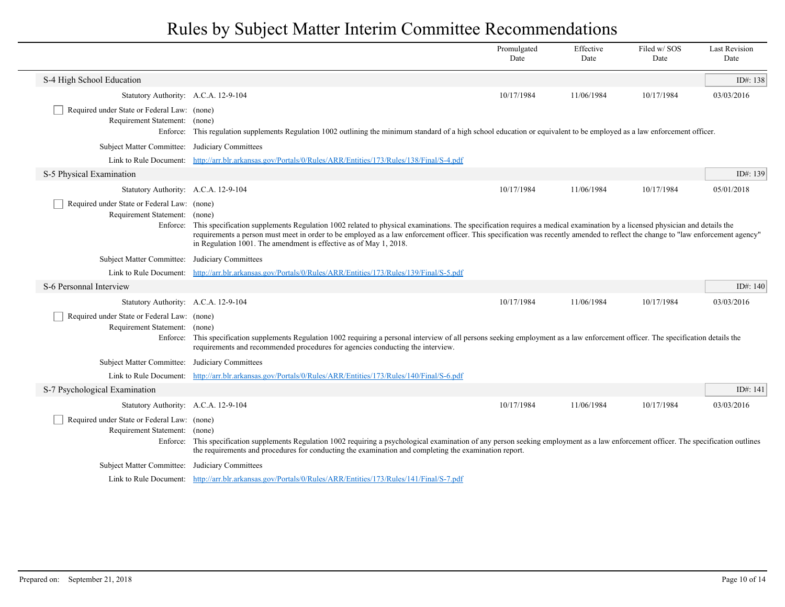|                                                                                          |                                                                                                                                                                                                                                                                                                                                                                                                                                             | Promulgated<br>Date | Effective<br>Date | Filed w/ SOS<br>Date | <b>Last Revision</b><br>Date |
|------------------------------------------------------------------------------------------|---------------------------------------------------------------------------------------------------------------------------------------------------------------------------------------------------------------------------------------------------------------------------------------------------------------------------------------------------------------------------------------------------------------------------------------------|---------------------|-------------------|----------------------|------------------------------|
| S-4 High School Education                                                                |                                                                                                                                                                                                                                                                                                                                                                                                                                             |                     |                   |                      | ID#: $138$                   |
| Statutory Authority: A.C.A. 12-9-104                                                     |                                                                                                                                                                                                                                                                                                                                                                                                                                             | 10/17/1984          | 11/06/1984        | 10/17/1984           | 03/03/2016                   |
| Required under State or Federal Law: (none)<br>Requirement Statement: (none)             | Enforce: This regulation supplements Regulation 1002 outlining the minimum standard of a high school education or equivalent to be employed as a law enforcement officer.                                                                                                                                                                                                                                                                   |                     |                   |                      |                              |
| Subject Matter Committee:                                                                | Judiciary Committees                                                                                                                                                                                                                                                                                                                                                                                                                        |                     |                   |                      |                              |
|                                                                                          | Link to Rule Document: http://arr.blr.arkansas.gov/Portals/0/Rules/ARR/Entities/173/Rules/138/Final/S-4.pdf                                                                                                                                                                                                                                                                                                                                 |                     |                   |                      |                              |
| S-5 Physical Examination                                                                 |                                                                                                                                                                                                                                                                                                                                                                                                                                             |                     |                   |                      | ID#: 139                     |
| Statutory Authority: A.C.A. 12-9-104                                                     |                                                                                                                                                                                                                                                                                                                                                                                                                                             | 10/17/1984          | 11/06/1984        | 10/17/1984           | 05/01/2018                   |
| Required under State or Federal Law: (none)<br>Requirement Statement:<br>Enforce:        | (none)<br>This specification supplements Regulation 1002 related to physical examinations. The specification requires a medical examination by a licensed physician and details the<br>requirements a person must meet in order to be employed as a law enforcement officer. This specification was recently amended to reflect the change to "law enforcement agency"<br>in Regulation 1001. The amendment is effective as of May 1, 2018. |                     |                   |                      |                              |
| <b>Subject Matter Committee:</b>                                                         | Judiciary Committees                                                                                                                                                                                                                                                                                                                                                                                                                        |                     |                   |                      |                              |
|                                                                                          | Link to Rule Document: http://arr.blr.arkansas.gov/Portals/0/Rules/ARR/Entities/173/Rules/139/Final/S-5.pdf                                                                                                                                                                                                                                                                                                                                 |                     |                   |                      |                              |
| S-6 Personnal Interview                                                                  |                                                                                                                                                                                                                                                                                                                                                                                                                                             |                     |                   |                      | ID#: $140$                   |
| Statutory Authority: A.C.A. 12-9-104                                                     |                                                                                                                                                                                                                                                                                                                                                                                                                                             | 10/17/1984          | 11/06/1984        | 10/17/1984           | 03/03/2016                   |
| Required under State or Federal Law: (none)<br>Requirement Statement: (none)<br>Enforce: | This specification supplements Regulation 1002 requiring a personal interview of all persons seeking employment as a law enforcement officer. The specification details the<br>requirements and recommended procedures for agencies conducting the interview.                                                                                                                                                                               |                     |                   |                      |                              |
| Subject Matter Committee: Judiciary Committees                                           |                                                                                                                                                                                                                                                                                                                                                                                                                                             |                     |                   |                      |                              |
|                                                                                          | Link to Rule Document: http://arr.blr.arkansas.gov/Portals/0/Rules/ARR/Entities/173/Rules/140/Final/S-6.pdf                                                                                                                                                                                                                                                                                                                                 |                     |                   |                      |                              |
| S-7 Psychological Examination                                                            |                                                                                                                                                                                                                                                                                                                                                                                                                                             |                     |                   |                      | ID#: $141$                   |
| Statutory Authority: A.C.A. 12-9-104                                                     |                                                                                                                                                                                                                                                                                                                                                                                                                                             | 10/17/1984          | 11/06/1984        | 10/17/1984           | 03/03/2016                   |
| Required under State or Federal Law: (none)<br>Requirement Statement: (none)             | Enforce: This specification supplements Regulation 1002 requiring a psychological examination of any person seeking employment as a law enforcement officer. The specification outlines<br>the requirements and procedures for conducting the examination and completing the examination report.                                                                                                                                            |                     |                   |                      |                              |
| Subject Matter Committee: Judiciary Committees                                           |                                                                                                                                                                                                                                                                                                                                                                                                                                             |                     |                   |                      |                              |
|                                                                                          | Link to Rule Document: http://arr.blr.arkansas.gov/Portals/0/Rules/ARR/Entities/173/Rules/141/Final/S-7.pdf                                                                                                                                                                                                                                                                                                                                 |                     |                   |                      |                              |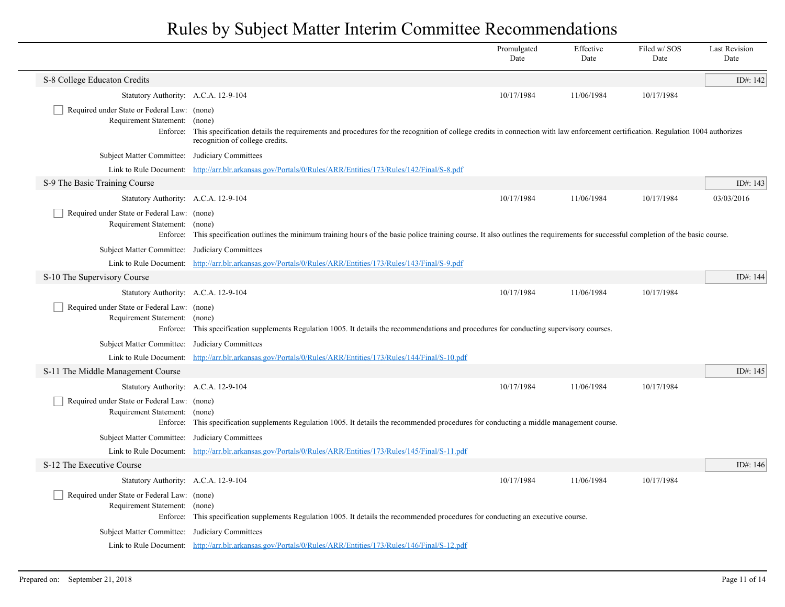|                                                                                   |                                                                                                                                                                                                                             | Promulgated<br>Date | Effective<br>Date | Filed w/SOS<br>Date | <b>Last Revision</b><br>Date |
|-----------------------------------------------------------------------------------|-----------------------------------------------------------------------------------------------------------------------------------------------------------------------------------------------------------------------------|---------------------|-------------------|---------------------|------------------------------|
| S-8 College Educaton Credits                                                      |                                                                                                                                                                                                                             |                     |                   |                     | ID#: 142                     |
| Statutory Authority: A.C.A. 12-9-104                                              |                                                                                                                                                                                                                             | 10/17/1984          | 11/06/1984        | 10/17/1984          |                              |
| Required under State or Federal Law: (none)<br>Requirement Statement:<br>Enforce: | (none)<br>This specification details the requirements and procedures for the recognition of college credits in connection with law enforcement certification. Regulation 1004 authorizes<br>recognition of college credits. |                     |                   |                     |                              |
| Subject Matter Committee: Judiciary Committees                                    |                                                                                                                                                                                                                             |                     |                   |                     |                              |
|                                                                                   | Link to Rule Document: http://arr.blr.arkansas.gov/Portals/0/Rules/ARR/Entities/173/Rules/142/Final/S-8.pdf                                                                                                                 |                     |                   |                     |                              |
| S-9 The Basic Training Course                                                     |                                                                                                                                                                                                                             |                     |                   |                     | ID#: 143                     |
| Statutory Authority: A.C.A. 12-9-104                                              |                                                                                                                                                                                                                             | 10/17/1984          | 11/06/1984        | 10/17/1984          | 03/03/2016                   |
| Required under State or Federal Law: (none)<br>Requirement Statement: (none)      | Enforce: This specification outlines the minimum training hours of the basic police training course. It also outlines the requirements for successful completion of the basic course.                                       |                     |                   |                     |                              |
| Subject Matter Committee: Judiciary Committees                                    |                                                                                                                                                                                                                             |                     |                   |                     |                              |
|                                                                                   | Link to Rule Document: http://arr.blr.arkansas.gov/Portals/0/Rules/ARR/Entities/173/Rules/143/Final/S-9.pdf                                                                                                                 |                     |                   |                     |                              |
| S-10 The Supervisory Course                                                       |                                                                                                                                                                                                                             |                     |                   |                     | ID#: 144                     |
| Statutory Authority: A.C.A. 12-9-104                                              |                                                                                                                                                                                                                             | 10/17/1984          | 11/06/1984        | 10/17/1984          |                              |
| Required under State or Federal Law: (none)<br>Requirement Statement: (none)      | Enforce: This specification supplements Regulation 1005. It details the recommendations and procedures for conducting supervisory courses.                                                                                  |                     |                   |                     |                              |
| Subject Matter Committee: Judiciary Committees                                    |                                                                                                                                                                                                                             |                     |                   |                     |                              |
|                                                                                   | Link to Rule Document: http://arr.blr.arkansas.gov/Portals/0/Rules/ARR/Entities/173/Rules/144/Final/S-10.pdf                                                                                                                |                     |                   |                     |                              |
| S-11 The Middle Management Course                                                 |                                                                                                                                                                                                                             |                     |                   |                     | ID#: 145                     |
| Statutory Authority: A.C.A. 12-9-104                                              |                                                                                                                                                                                                                             | 10/17/1984          | 11/06/1984        | 10/17/1984          |                              |
| Required under State or Federal Law: (none)<br>Requirement Statement: (none)      | Enforce: This specification supplements Regulation 1005. It details the recommended procedures for conducting a middle management course.                                                                                   |                     |                   |                     |                              |
| Subject Matter Committee: Judiciary Committees                                    |                                                                                                                                                                                                                             |                     |                   |                     |                              |
|                                                                                   | Link to Rule Document: http://arr.blr.arkansas.gov/Portals/0/Rules/ARR/Entities/173/Rules/145/Final/S-11.pdf                                                                                                                |                     |                   |                     |                              |
| S-12 The Executive Course                                                         |                                                                                                                                                                                                                             |                     |                   |                     | ID#: 146                     |
| Statutory Authority: A.C.A. 12-9-104                                              |                                                                                                                                                                                                                             | 10/17/1984          | 11/06/1984        | 10/17/1984          |                              |
| Required under State or Federal Law: (none)<br>Requirement Statement: (none)      | Enforce: This specification supplements Regulation 1005. It details the recommended procedures for conducting an executive course.                                                                                          |                     |                   |                     |                              |
| Subject Matter Committee: Judiciary Committees                                    |                                                                                                                                                                                                                             |                     |                   |                     |                              |
|                                                                                   | Link to Rule Document: http://arr.blr.arkansas.gov/Portals/0/Rules/ARR/Entities/173/Rules/146/Final/S-12.pdf                                                                                                                |                     |                   |                     |                              |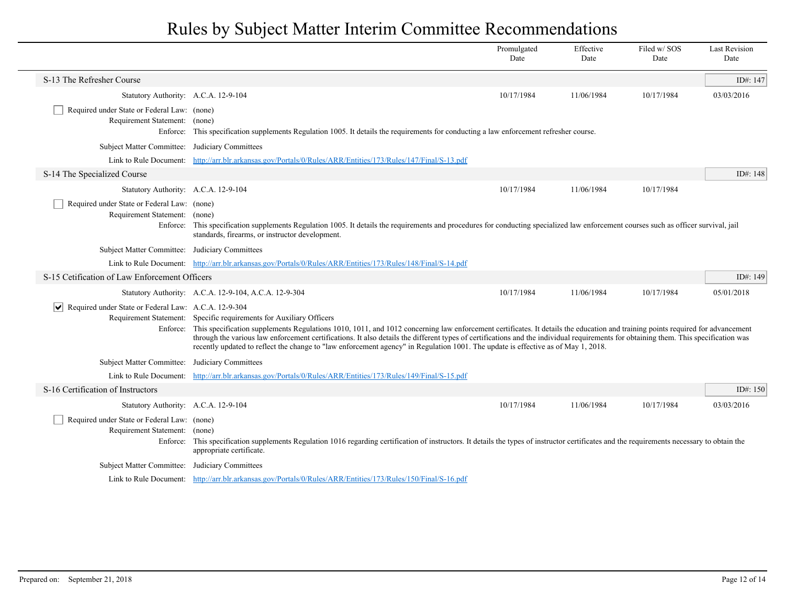|                                                                              |                                                                                                                                                                                                                                                                                                                                                                                                                                                                                                                                                                                             | Promulgated<br>Date | Effective<br>Date | Filed w/ SOS<br>Date | <b>Last Revision</b><br>Date |
|------------------------------------------------------------------------------|---------------------------------------------------------------------------------------------------------------------------------------------------------------------------------------------------------------------------------------------------------------------------------------------------------------------------------------------------------------------------------------------------------------------------------------------------------------------------------------------------------------------------------------------------------------------------------------------|---------------------|-------------------|----------------------|------------------------------|
| S-13 The Refresher Course                                                    |                                                                                                                                                                                                                                                                                                                                                                                                                                                                                                                                                                                             |                     |                   |                      | ID#: 147                     |
| Statutory Authority: A.C.A. 12-9-104                                         |                                                                                                                                                                                                                                                                                                                                                                                                                                                                                                                                                                                             | 10/17/1984          | 11/06/1984        | 10/17/1984           | 03/03/2016                   |
| Required under State or Federal Law: (none)<br>Requirement Statement: (none) | Enforce: This specification supplements Regulation 1005. It details the requirements for conducting a law enforcement refresher course.                                                                                                                                                                                                                                                                                                                                                                                                                                                     |                     |                   |                      |                              |
| Subject Matter Committee: Judiciary Committees                               |                                                                                                                                                                                                                                                                                                                                                                                                                                                                                                                                                                                             |                     |                   |                      |                              |
|                                                                              | Link to Rule Document: http://arr.blr.arkansas.gov/Portals/0/Rules/ARR/Entities/173/Rules/147/Final/S-13.pdf                                                                                                                                                                                                                                                                                                                                                                                                                                                                                |                     |                   |                      |                              |
| S-14 The Specialized Course                                                  |                                                                                                                                                                                                                                                                                                                                                                                                                                                                                                                                                                                             |                     |                   |                      | ID#: 148                     |
| Statutory Authority: A.C.A. 12-9-104                                         |                                                                                                                                                                                                                                                                                                                                                                                                                                                                                                                                                                                             | 10/17/1984          | 11/06/1984        | 10/17/1984           |                              |
| Required under State or Federal Law: (none)<br>Requirement Statement: (none) | Enforce: This specification supplements Regulation 1005. It details the requirements and procedures for conducting specialized law enforcement courses such as officer survival, jail<br>standards, firearms, or instructor development.                                                                                                                                                                                                                                                                                                                                                    |                     |                   |                      |                              |
| Subject Matter Committee: Judiciary Committees                               |                                                                                                                                                                                                                                                                                                                                                                                                                                                                                                                                                                                             |                     |                   |                      |                              |
|                                                                              | Link to Rule Document: http://arr.blr.arkansas.gov/Portals/0/Rules/ARR/Entities/173/Rules/148/Final/S-14.pdf                                                                                                                                                                                                                                                                                                                                                                                                                                                                                |                     |                   |                      |                              |
| S-15 Cetification of Law Enforcement Officers                                |                                                                                                                                                                                                                                                                                                                                                                                                                                                                                                                                                                                             |                     |                   |                      | ID#: $149$                   |
|                                                                              | Statutory Authority: A.C.A. 12-9-104, A.C.A. 12-9-304                                                                                                                                                                                                                                                                                                                                                                                                                                                                                                                                       | 10/17/1984          | 11/06/1984        | 10/17/1984           | 05/01/2018                   |
| Required under State or Federal Law: A.C.A. 12-9-304                         | Requirement Statement: Specific requirements for Auxiliary Officers<br>Enforce: This specification supplements Regulations 1010, 1011, and 1012 concerning law enforcement certificates. It details the education and training points required for advancement<br>through the various law enforcement certifications. It also details the different types of certifications and the individual requirements for obtaining them. This specification was<br>recently updated to reflect the change to "law enforcement agency" in Regulation 1001. The update is effective as of May 1, 2018. |                     |                   |                      |                              |
| Subject Matter Committee: Judiciary Committees                               |                                                                                                                                                                                                                                                                                                                                                                                                                                                                                                                                                                                             |                     |                   |                      |                              |
|                                                                              | Link to Rule Document: http://arr.blr.arkansas.gov/Portals/0/Rules/ARR/Entities/173/Rules/149/Final/S-15.pdf                                                                                                                                                                                                                                                                                                                                                                                                                                                                                |                     |                   |                      |                              |
| S-16 Certification of Instructors                                            |                                                                                                                                                                                                                                                                                                                                                                                                                                                                                                                                                                                             |                     |                   |                      | ID#: $150$                   |
| Statutory Authority: A.C.A. 12-9-104                                         |                                                                                                                                                                                                                                                                                                                                                                                                                                                                                                                                                                                             | 10/17/1984          | 11/06/1984        | 10/17/1984           | 03/03/2016                   |
| Required under State or Federal Law: (none)<br>Requirement Statement:        | (none)<br>Enforce: This specification supplements Regulation 1016 regarding certification of instructors. It details the types of instructor certificates and the requirements necessary to obtain the<br>appropriate certificate.                                                                                                                                                                                                                                                                                                                                                          |                     |                   |                      |                              |
| Subject Matter Committee: Judiciary Committees                               |                                                                                                                                                                                                                                                                                                                                                                                                                                                                                                                                                                                             |                     |                   |                      |                              |
|                                                                              | Link to Rule Document: http://arr.blr.arkansas.gov/Portals/0/Rules/ARR/Entities/173/Rules/150/Final/S-16.pdf                                                                                                                                                                                                                                                                                                                                                                                                                                                                                |                     |                   |                      |                              |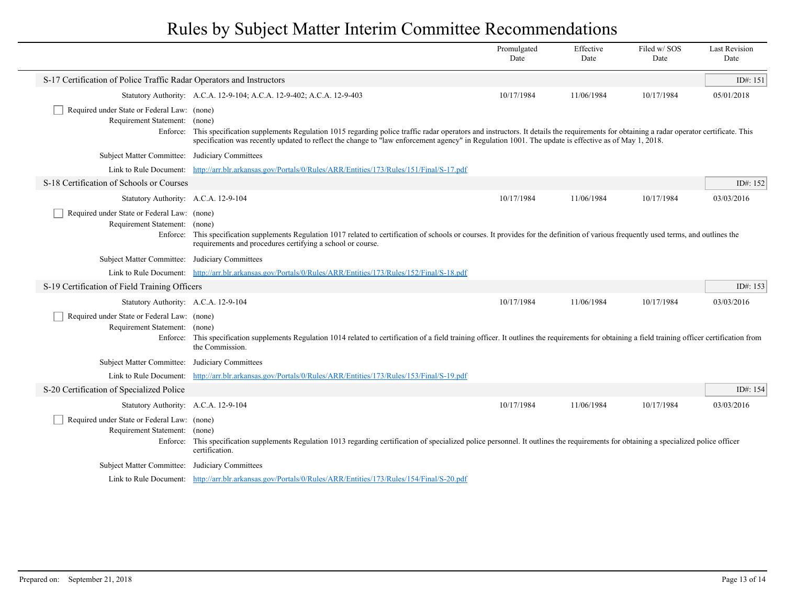|                                                                                   |                                                                                                                                                                                                                                                                                                                                                        | Promulgated<br>Date | Effective<br>Date | Filed w/SOS<br>Date | <b>Last Revision</b><br>Date |  |
|-----------------------------------------------------------------------------------|--------------------------------------------------------------------------------------------------------------------------------------------------------------------------------------------------------------------------------------------------------------------------------------------------------------------------------------------------------|---------------------|-------------------|---------------------|------------------------------|--|
| S-17 Certification of Police Traffic Radar Operators and Instructors              |                                                                                                                                                                                                                                                                                                                                                        |                     |                   |                     | ID#: 151                     |  |
|                                                                                   | Statutory Authority: A.C.A. 12-9-104; A.C.A. 12-9-402; A.C.A. 12-9-403                                                                                                                                                                                                                                                                                 | 10/17/1984          | 11/06/1984        | 10/17/1984          | 05/01/2018                   |  |
| Required under State or Federal Law: (none)<br>Requirement Statement:<br>Enforce: | (none)<br>This specification supplements Regulation 1015 regarding police traffic radar operators and instructors. It details the requirements for obtaining a radar operator certificate. This<br>specification was recently updated to reflect the change to "law enforcement agency" in Regulation 1001. The update is effective as of May 1, 2018. |                     |                   |                     |                              |  |
| <b>Subject Matter Committee:</b>                                                  | Judiciary Committees                                                                                                                                                                                                                                                                                                                                   |                     |                   |                     |                              |  |
|                                                                                   | Link to Rule Document: http://arr.blr.arkansas.gov/Portals/0/Rules/ARR/Entities/173/Rules/151/Final/S-17.pdf                                                                                                                                                                                                                                           |                     |                   |                     |                              |  |
| S-18 Certification of Schools or Courses                                          |                                                                                                                                                                                                                                                                                                                                                        |                     |                   |                     | ID#: 152                     |  |
| Statutory Authority: A.C.A. 12-9-104                                              |                                                                                                                                                                                                                                                                                                                                                        | 10/17/1984          | 11/06/1984        | 10/17/1984          | 03/03/2016                   |  |
| Required under State or Federal Law: (none)<br>Requirement Statement: (none)      | Enforce: This specification supplements Regulation 1017 related to certification of schools or courses. It provides for the definition of various frequently used terms, and outlines the<br>requirements and procedures certifying a school or course.                                                                                                |                     |                   |                     |                              |  |
| <b>Subject Matter Committee:</b>                                                  | Judiciary Committees                                                                                                                                                                                                                                                                                                                                   |                     |                   |                     |                              |  |
|                                                                                   | Link to Rule Document: http://arr.blr.arkansas.gov/Portals/0/Rules/ARR/Entities/173/Rules/152/Final/S-18.pdf                                                                                                                                                                                                                                           |                     |                   |                     |                              |  |
| S-19 Certification of Field Training Officers                                     |                                                                                                                                                                                                                                                                                                                                                        |                     |                   |                     | ID#: 153                     |  |
| Statutory Authority: A.C.A. 12-9-104                                              |                                                                                                                                                                                                                                                                                                                                                        | 10/17/1984          | 11/06/1984        | 10/17/1984          | 03/03/2016                   |  |
| Required under State or Federal Law: (none)<br>Requirement Statement:<br>Enforce: | (none)<br>This specification supplements Regulation 1014 related to certification of a field training officer. It outlines the requirements for obtaining a field training officer certification from<br>the Commission.                                                                                                                               |                     |                   |                     |                              |  |
| <b>Subject Matter Committee:</b>                                                  | Judiciary Committees                                                                                                                                                                                                                                                                                                                                   |                     |                   |                     |                              |  |
| Link to Rule Document:                                                            | http://arr.blr.arkansas.gov/Portals/0/Rules/ARR/Entities/173/Rules/153/Final/S-19.pdf                                                                                                                                                                                                                                                                  |                     |                   |                     |                              |  |
| S-20 Certification of Specialized Police                                          |                                                                                                                                                                                                                                                                                                                                                        |                     |                   |                     | ID#: 154                     |  |
| Statutory Authority: A.C.A. 12-9-104                                              |                                                                                                                                                                                                                                                                                                                                                        | 10/17/1984          | 11/06/1984        | 10/17/1984          | 03/03/2016                   |  |
| Required under State or Federal Law: (none)<br>Requirement Statement:<br>Enforce: | (none)<br>This specification supplements Regulation 1013 regarding certification of specialized police personnel. It outlines the requirements for obtaining a specialized police officer<br>certification.                                                                                                                                            |                     |                   |                     |                              |  |
| Subject Matter Committee: Judiciary Committees                                    |                                                                                                                                                                                                                                                                                                                                                        |                     |                   |                     |                              |  |
|                                                                                   | Link to Rule Document: http://arr.blr.arkansas.gov/Portals/0/Rules/ARR/Entities/173/Rules/154/Final/S-20.pdf                                                                                                                                                                                                                                           |                     |                   |                     |                              |  |